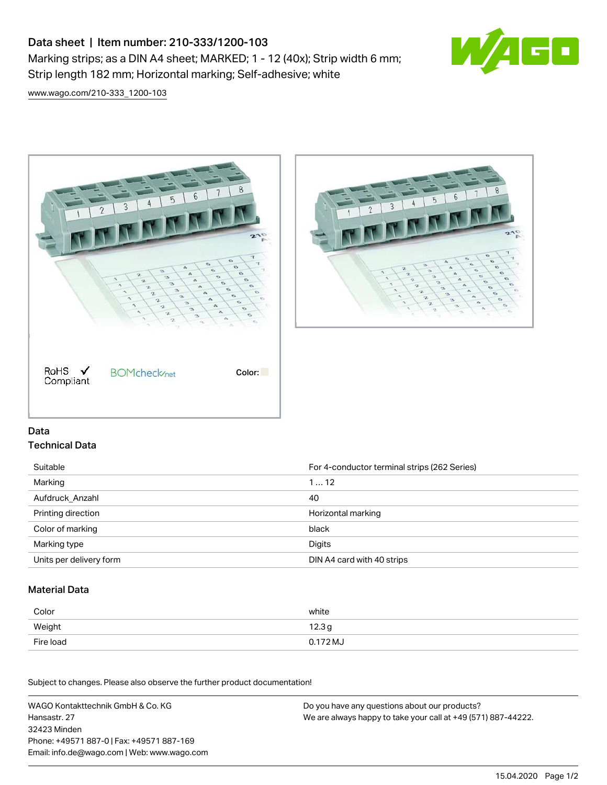# Data sheet | Item number: 210-333/1200-103 Marking strips; as a DIN A4 sheet; MARKED; 1 - 12 (40x); Strip width 6 mm; Strip length 182 mm; Horizontal marking; Self-adhesive; white



[www.wago.com/210-333\\_1200-103](http://www.wago.com/210-333_1200-103)





#### Data Technical Data

Suitable **For 4-conductor terminal strips (262 Series)** For 4-conductor terminal strips (262 Series) Marking 1 … 12 Aufdruck\_Anzahl 40 Printing direction **According to the Contract of Contract According to the Contract Official** Marking Horizontal marking Color of marking black Marking type **Digits** Units per delivery form **DIN A4 card with 40 strips** 

#### Material Data

| Color     | white             |
|-----------|-------------------|
| Weight    | 12.3 <sub>g</sub> |
| Fire load | 0.172 MJ          |

Subject to changes. Please also observe the further product documentation!

WAGO Kontakttechnik GmbH & Co. KG Hansastr. 27 32423 Minden Phone: +49571 887-0 | Fax: +49571 887-169 Email: info.de@wago.com | Web: www.wago.com Do you have any questions about our products? We are always happy to take your call at +49 (571) 887-44222.